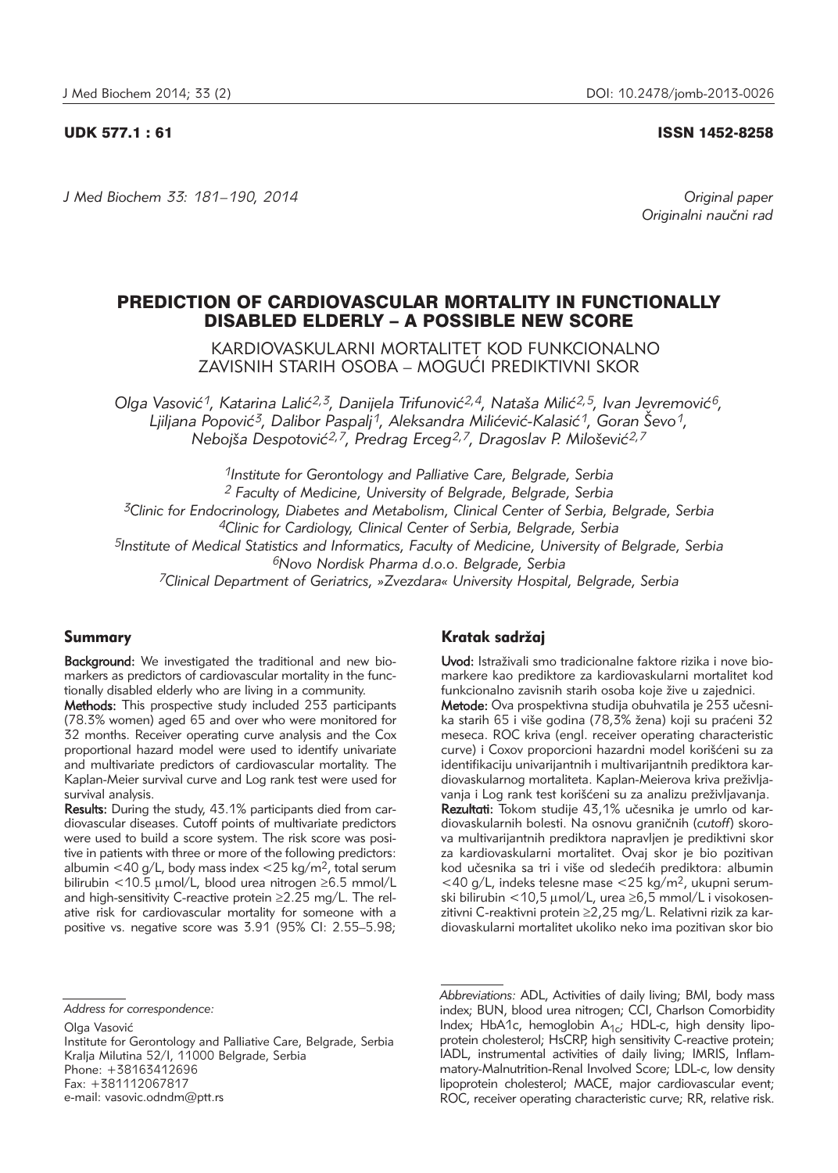# UDK 577.1 : 61 ISSN 1452-8258

*J Med Biochem 33: 181–190, 2014 Original paper*

Originalni naučni rad

# PREDICTION OF CARDIOVASCULAR MORTALITY IN FUNCTIONALLY DISABLED ELDERLY – A POSSIBLE NEW SCORE

KARDIOVASKULARNI MORTALITET KOD FUNKCIONALNO ZAVISNIH STARIH OSOBA – MOGUĆI PREDIKTIVNI SKOR

Olga Vasović<sup>1</sup>, Katarina Lalić<sup>2,3</sup>, Danijela Trifunović<sup>2,4</sup>, Nataša Milić<sup>2,5</sup>, Ivan Jevremović<sup>6</sup>, Ljiljana Popović<sup>3</sup>, Dalibor Paspalj<sup>1</sup>, Aleksandra Milićević-Kalasić<sup>1</sup>, Goran Ševo<sup>1</sup>, *Neboj{a Despotovi}2,7, Predrag Erceg2,7, Dragoslav P. Milo{evi}2,7*

*1Institute for Gerontology and Palliative Care, Belgrade, Serbia 2 Faculty of Medicine, University of Belgrade, Belgrade, Serbia 3Clinic for Endocrinology, Diabetes and Metabolism, Clinical Center of Serbia, Belgrade, Serbia 4Clinic for Cardiology, Clinical Center of Serbia, Belgrade, Serbia 5Institute of Medical Statistics and Informatics, Faculty of Medicine, University of Belgrade, Serbia 6Novo Nordisk Pharma d.o.o. Belgrade, Serbia 7Clinical Department of Geriatrics, »Zvezdara« University Hospital, Belgrade, Serbia*

# Summary

**Background:** We investigated the traditional and new biomarkers as predictors of cardiovascular mortality in the functionally disabled elderly who are living in a community.

Methods: This prospective study included 253 participants (78.3% women) aged 65 and over who were monitored for 32 months. Receiver operating curve analysis and the Cox proportional hazard model were used to identify univariate and multivariate predictors of cardiovascular mortality. The Kaplan-Meier survival curve and Log rank test were used for survival analysis.

Results: During the study, 43.1% participants died from cardiovascular diseases. Cutoff points of multivariate predictors were used to build a score system. The risk score was positive in patients with three or more of the following predictors: albumin <40 g/L, body mass index <25 kg/m<sup>2</sup>, total serum bilirubin <10.5 mmol/L, blood urea nitrogen ≥6.5 mmol/L and high-sensitivity C-reactive protein  $\geq$  2.25 mg/L. The relative risk for cardiovascular mortality for someone with a positive vs. negative score was  $3.91$  (95% CI:  $2.55-5.98$ ;

# Kratak sadržaj

Uvod: Istraživali smo tradicionalne faktore rizika i nove biomarkere kao prediktore za kardiovaskularni mortalitet kod funkcionalno zavisnih starih osoba koje žive u zajednici. Metode: Ova prospektivna studija obuhvatila je 253 učesnika starih 65 i više godina (78,3% žena) koji su praćeni 32 meseca. ROC kriva (engl. receiver operating characteristic curve) i Coxov proporcioni hazardni model korišćeni su za identifikaciju univarijantnih i multivarijantnih prediktora kardiovaskularnog mortaliteta. Kaplan-Meierova kriva preživljavanja i Log rank test korišćeni su za analizu preživljavanja. Rezultati: Tokom studije 43,1% učesnika je umrlo od kardiovaskularnih bolesti. Na osnovu graničnih (cutoff) skorova multivarijantnih prediktora napravljen je prediktivni skor za kardiovaskularni mortalitet. Ovaj skor je bio pozitivan kod učesnika sa tri i više od sledećih prediktora: albumin <40 g/L, indeks telesne mase <25 kg/m2, ukupni serumski bilirubin <10,5 μmol/L, urea ≥6,5 mmol/L i visokosenzitivni C-reaktivni protein ≥2,25 mg/L. Relativni rizik za kardiovaskularni mortalitet ukoliko neko ima pozitivan skor bio

*Address for correspondence:*

Olga Vasović

Institute for Gerontology and Palliative Care, Belgrade, Serbia Kralja Milutina 52/I, 11000 Belgrade, Serbia Phone: +38163412696 Fax: +381112067817 e-mail: vasovic.odndm@ptt.rs

*Abbreviations:* ADL, Activities of daily living; BMI, body mass index; BUN, blood urea nitrogen; CCI, Charlson Comorbidity Index; HbA1c, hemoglobin  $A_{1c}$ ; HDL-c, high density lipoprotein cholesterol; HsCRP, high sensitivity C-reactive protein; IADL, instrumental activities of daily living; IMRIS, Inflammatory-Malnutrition-Renal Involved Score; LDL-c, low density lipoprotein cholesterol; MACE, major cardiovascular event; ROC, receiver operating characteristic curve; RR, relative risk.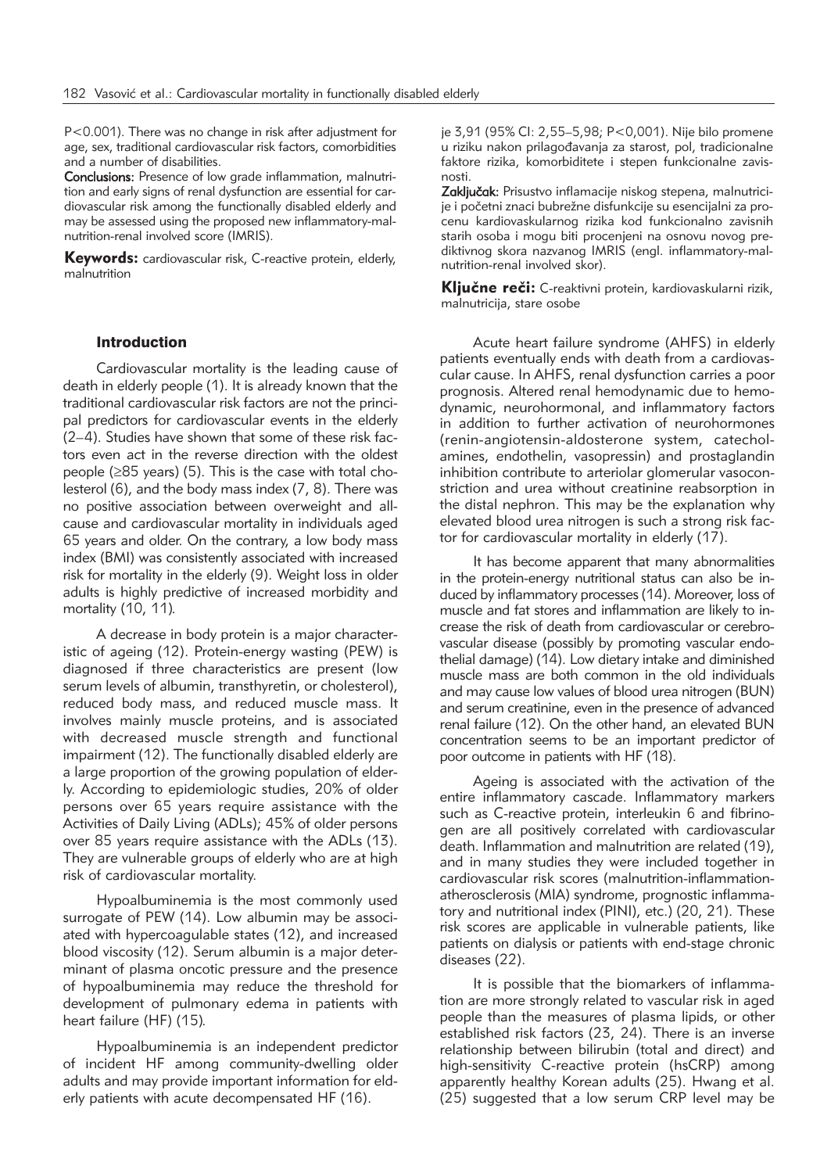P<0.001). There was no change in risk after adjustment for age, sex, traditional cardiovascular risk factors, comorbidities and a number of disabilities.

Conclusions: Presence of low grade inflammation, malnutrition and early signs of renal dysfunction are essential for cardiovascular risk among the functionally disabled elderly and may be assessed using the proposed new inflammatory-malnutrition-renal involved score (IMRIS).

Keywords: cardiovascular risk, C-reactive protein, elderly, malnutrition

# Introduction

Cardiovascular mortality is the leading cause of death in elderly people (1). It is already known that the traditional cardiovascular risk factors are not the principal predictors for cardiovascular events in the elderly (2–4). Studies have shown that some of these risk factors even act in the reverse direction with the oldest people (≥85 years) (5). This is the case with total cholesterol (6), and the body mass index (7, 8). There was no positive association between overweight and allcause and cardiovascular mortality in individuals aged 65 years and older. On the contrary, a low body mass index (BMI) was consistently associated with increased risk for mortality in the elderly (9). Weight loss in older adults is highly predictive of increased morbidity and mortality (10, 11).

A decrease in body protein is a major characteristic of ageing (12). Protein-energy wasting (PEW) is diagnosed if three characteristics are present (low serum levels of albumin, transthyretin, or cholesterol), reduced body mass, and reduced muscle mass. It involves mainly muscle proteins, and is associated with decreased muscle strength and functional impairment (12). The functionally disabled elderly are a large proportion of the growing population of elderly. According to epidemiologic studies, 20% of older persons over 65 years require assistance with the Activities of Daily Living (ADLs); 45% of older persons over 85 years require assistance with the ADLs (13). They are vulnerable groups of elderly who are at high risk of cardiovascular mortality.

Hypoalbuminemia is the most commonly used surrogate of PEW (14). Low albumin may be associated with hypercoagulable states (12), and increased blood viscosity (12). Serum albumin is a major determinant of plasma oncotic pressure and the presence of hypoalbuminemia may reduce the threshold for development of pulmonary edema in patients with heart failure (HF) (15).

Hypoalbuminemia is an independent predictor of incident HF among community-dwelling older adults and may provide important information for elderly patients with acute decompensated HF (16).

je 3,91 (95% CI: 2,55–5,98; P<0,001). Nije bilo promene u riziku nakon prilagođavanja za starost, pol, tradicionalne faktore rizika, komorbiditete i stepen funkcionalne zavisnosti.

Zaključak: Prisustvo inflamacije niskog stepena, malnutricije i početni znaci bubrežne disfunkcije su esencijalni za procenu kardiovaskularnog rizika kod funkcionalno zavisnih starih osoba i mogu biti procenjeni na osnovu novog prediktivnog skora nazvanog IMRIS (engl. inflammatory-malnutrition-renal involved skor).

Ključne reči: C-reaktivni protein, kardiovaskularni rizik, malnutricija, stare osobe

Acute heart failure syndrome (AHFS) in elderly patients eventually ends with death from a cardiovascular cause. In AHFS, renal dysfunction carries a poor prognosis. Altered renal hemodynamic due to hemodynamic, neurohormonal, and inflammatory factors in addition to further activation of neurohormones (renin-angiotensin-aldosterone system, catechol amines, endothelin, vasopressin) and prostaglandin inhibition contribute to arteriolar glomerular vasoconstriction and urea without creatinine reabsorption in the distal nephron. This may be the explanation why elevated blood urea nitrogen is such a strong risk factor for cardiovascular mortality in elderly (17).

It has become apparent that many abnormalities in the protein-energy nutritional status can also be induced by inflammatory processes (14). Moreover, loss of muscle and fat stores and inflammation are likely to increase the risk of death from cardiovascular or cerebrovascular disease (possibly by promoting vascular endothelial damage)  $(14)$ . Low dietary intake and diminished muscle mass are both common in the old individuals and may cause low values of blood urea nitrogen (BUN) and serum creatinine, even in the presence of advanced renal failure (12). On the other hand, an elevated BUN concentration seems to be an important predictor of poor outcome in patients with HF (18).

Ageing is associated with the activation of the entire inflammatory cascade. Inflammatory markers such as C-reactive protein, interleukin 6 and fibrinogen are all positively correlated with cardiovascular death. Inflammation and malnutrition are related (19), and in many studies they were included together in cardiovascular risk scores (malnutrition-inflammationatherosclerosis (MIA) syndrome, prognostic inflammatory and nutritional index (PINI), etc.) (20, 21). These risk scores are applicable in vulnerable patients, like patients on dialysis or patients with end-stage chronic diseases (22).

It is possible that the biomarkers of inflammation are more strongly related to vascular risk in aged people than the measures of plasma lipids, or other established risk factors (23, 24). There is an inverse relationship between bilirubin (total and direct) and high-sensitivity C-reactive protein (hsCRP) among apparently healthy Korean adults (25). Hwang et al. (25) suggested that a low serum CRP level may be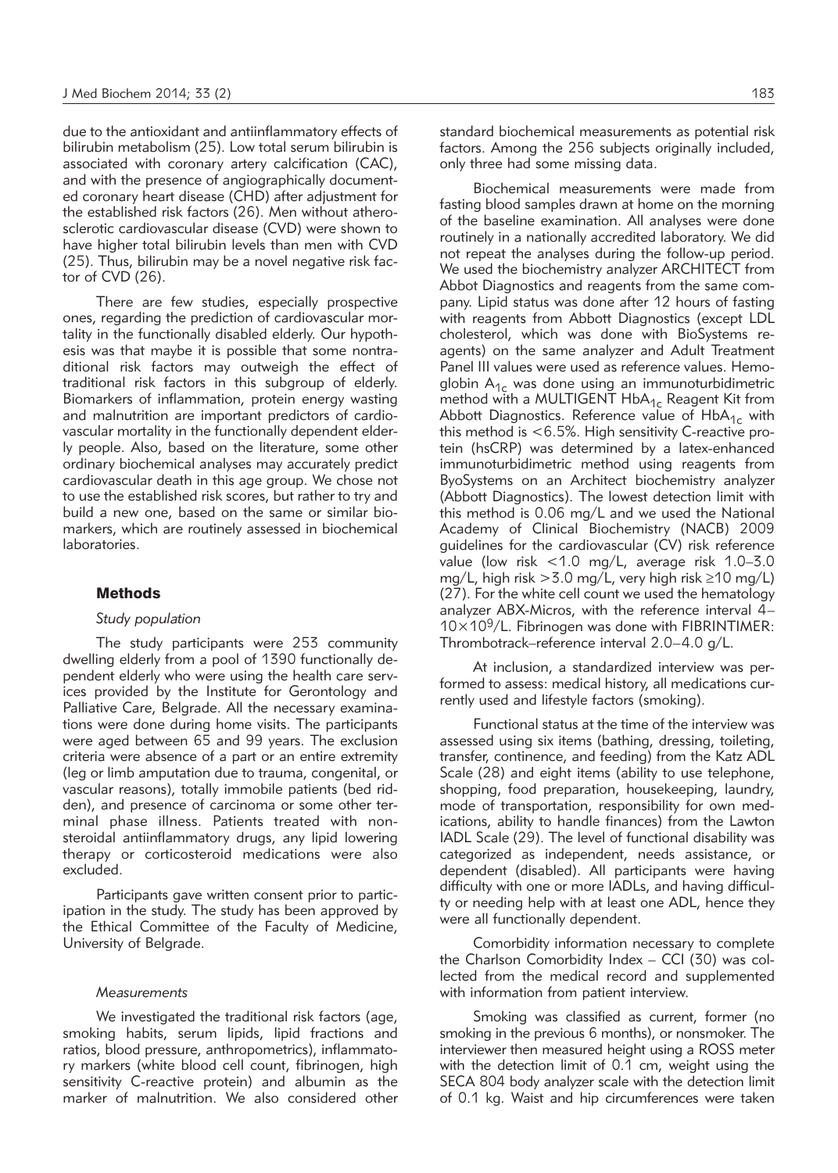due to the antioxidant and antiinflammatory effects of bilirubin metabolism (25). Low total serum bilirubin is associated with coronary artery calcification (CAC), and with the presence of angiographically documented coronary heart disease (CHD) after adjustment for the established risk factors (26). Men without atherosclerotic cardiovascular disease (CVD) were shown to have higher total bilirubin levels than men with CVD (25). Thus, bilirubin may be a novel negative risk factor of CVD (26).

There are few studies, especially prospective ones, regarding the prediction of cardiovascular mortality in the functionally disabled elderly. Our hypothesis was that maybe it is possible that some nontraditional risk factors may outweigh the effect of tra ditional risk factors in this subgroup of elderly. Biomarkers of inflammation, protein energy wasting and malnutrition are important predictors of cardiovascular mortality in the functionally dependent elderly people. Also, based on the literature, some other ordinary biochemical analyses may accurately predict cardiovascular death in this age group. We chose not to use the established risk scores, but rather to try and build a new one, based on the same or similar biomarkers, which are routinely assessed in biochemical laboratories.

### Methods

## *Study population*

The study participants were 253 community dwelling elderly from a pool of 1390 functionally dependent elderly who were using the health care services provided by the Institute for Gerontology and Palliative Care, Belgrade. All the necessary examinations were done during home visits. The participants were aged between 65 and 99 years. The exclusion criteria were absence of a part or an entire extremity (leg or limb amputation due to trauma, congenital, or vascular reasons), totally immobile patients (bed ridden), and presence of carcinoma or some other terminal phase illness. Patients treated with nonsteroidal antiinflammatory drugs, any lipid lowering therapy or corticosteroid medications were also excluded.

Participants gave written consent prior to participation in the study. The study has been approved by the Ethical Committee of the Faculty of Medicine, University of Belgrade.

#### *Measurements*

We investigated the traditional risk factors (age, smoking habits, serum lipids, lipid fractions and ratios, blood pressure, anthropometrics), inflammatory markers (white blood cell count, fibrinogen, high sensitivity C-reactive protein) and albumin as the marker of malnutrition. We also considered other standard biochemical measurements as potential risk factors. Among the 256 subjects originally included, only three had some missing data.

Biochemical measurements were made from fasting blood samples drawn at home on the morning of the baseline examination. All analyses were done routinely in a nationally accredited laboratory. We did not repeat the analyses during the follow-up period. We used the biochemistry analyzer ARCHITECT from Abbot Diagnostics and reagents from the same company. Lipid status was done after 12 hours of fasting with reagents from Abbott Diagnostics (except LDL cholesterol, which was done with BioSystems reagents) on the same analyzer and Adult Treatment Panel III values were used as reference values. Hemoglobin  $A_{1c}$  was done using an immunoturbidimetric method with a MULTIGENT Hb $A_{1c}$  Reagent Kit from Abbott Diagnostics. Reference value of  $HbA_{1c}$  with this method is <6.5%. High sensitivity C-reactive protein (hsCRP) was determined by a latex-enhanced immunoturbidimetric method using reagents from ByoSystems on an Architect biochemistry analyzer (Abbott Diagnostics). The lowest detection limit with this method is 0.06 mg/L and we used the National Academy of Clinical Biochemistry (NACB) 2009 guidelines for the cardiovascular (CV) risk reference value (low risk <1.0 mg/L, average risk 1.0–3.0 mg/L, high risk  $>3.0$  mg/L, very high risk  $\geq 10$  mg/L)  $(27)$ . For the white cell count we used the hematology analyzer ABX-Micros, with the reference interval 4–  $10\times10^{9}$ /L. Fibrinogen was done with FIBRINTIMER: Thrombotrack–reference interval 2.0–4.0 g/L.

At inclusion, a standardized interview was performed to assess: medical history, all medications currently used and lifestyle factors (smoking).

Functional status at the time of the interview was assessed using six items (bathing, dressing, toileting, transfer, continence, and feeding) from the Katz ADL Scale (28) and eight items (ability to use telephone, shopping, food preparation, housekeeping, laundry, mode of transportation, responsibility for own medications, ability to handle finances) from the Lawton IADL Scale (29). The level of functional disability was categorized as independent, needs assistance, or dependent (disabled). All participants were having difficulty with one or more IADLs, and having difficulty or needing help with at least one ADL, hence they were all functionally dependent.

Comorbidity information necessary to complete the Charlson Comorbidity Index – CCI (30) was collected from the medical record and supplemented with information from patient interview.

Smoking was classified as current, former (no smoking in the previous 6 months), or nonsmoker. The interviewer then measured height using a ROSS meter with the detection limit of 0.1 cm, weight using the SECA 804 body analyzer scale with the detection limit of 0.1 kg. Waist and hip circumferences were taken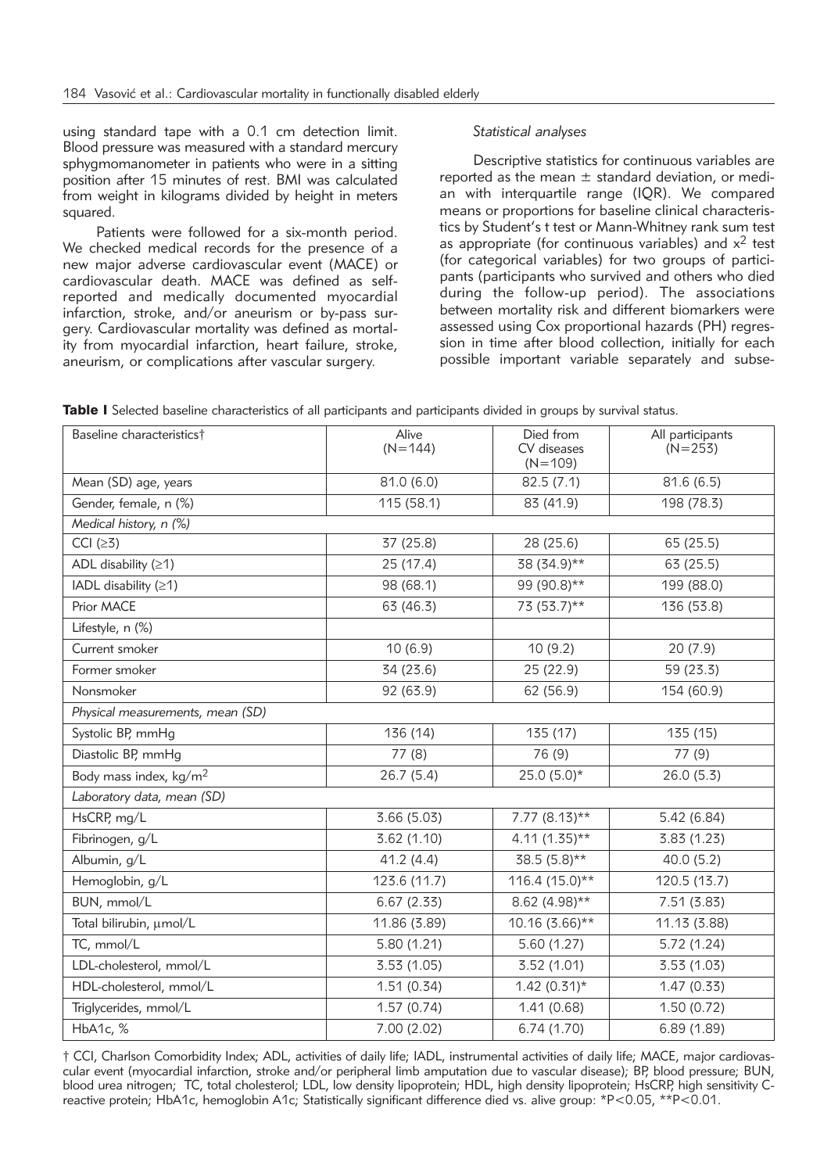using standard tape with a 0.1 cm detection limit. Blood pressure was measured with a standard mercury sphygmomanometer in patients who were in a sitting position after 15 minutes of rest. BMI was calculated from weight in kilograms divided by height in meters squared.

Patients were followed for a six-month period. We checked medical records for the presence of a new major adverse cardiovascular event (MACE) or cardiovascular death. MACE was defined as selfreported and medically documented myocardial infarction, stroke, and/or aneurism or by-pass surgery. Cardiovascular mortality was defined as mortality from myocardial infarction, heart failure, stroke, aneurism, or complications after vascular surgery.

# *Statistical analyses*

Descriptive statistics for continuous variables are reported as the mean  $\pm$  standard deviation, or median with interquartile range (IQR). We compared means or proportions for baseline clinical characteristics by Student's t test or Mann-Whitney rank sum test as appropriate (for continuous variables) and  $x^2$  test (for categorical variables) for two groups of participants (participants who survived and others who died during the follow-up period). The associations between mortality risk and different biomarkers were assessed using Cox proportional hazards (PH) regression in time after blood collection, initially for each possible important variable separately and subse-

| Baseline characteristics†          | Alive<br>$(N = 144)$ | Died from<br>CV diseases<br>$(N=109)$ | All participants<br>$(N=253)$ |  |  |  |  |  |
|------------------------------------|----------------------|---------------------------------------|-------------------------------|--|--|--|--|--|
| Mean (SD) age, years               | 81.0 (6.0)           | 82.5(7.1)                             | 81.6 (6.5)                    |  |  |  |  |  |
| Gender, female, n (%)              | 115 (58.1)           | 83 (41.9)                             | 198 (78.3)                    |  |  |  |  |  |
| Medical history, n (%)             |                      |                                       |                               |  |  |  |  |  |
| CCI $(≥3)$                         | 37 (25.8)            | 28 (25.6)                             | 65 (25.5)                     |  |  |  |  |  |
| ADL disability $(≥1)$              | 25 (17.4)            | 38 (34.9)**                           | 63 (25.5)                     |  |  |  |  |  |
| IADL disability $( \geq 1)$        | 98 (68.1)            | 99 (90.8)**                           | 199 (88.0)                    |  |  |  |  |  |
| Prior MACE                         | 63 (46.3)            | 73 (53.7)**                           | 136 (53.8)                    |  |  |  |  |  |
| Lifestyle, n (%)                   |                      |                                       |                               |  |  |  |  |  |
| Current smoker                     | 10(6.9)              | 10(9.2)                               | 20(7.9)                       |  |  |  |  |  |
| Former smoker                      | 34 (23.6)            | 25 (22.9)                             | 59 (23.3)                     |  |  |  |  |  |
| Nonsmoker                          | 92 (63.9)            | 62 (56.9)                             | 154 (60.9)                    |  |  |  |  |  |
| Physical measurements, mean (SD)   |                      |                                       |                               |  |  |  |  |  |
| Systolic BP, mmHg                  | 136 (14)             | 135 (17)                              | 135(15)                       |  |  |  |  |  |
| Diastolic BP, mmHg                 | 77 (8)               | 76 (9)                                | 77(9)                         |  |  |  |  |  |
| Body mass index, kg/m <sup>2</sup> | 26.7(5.4)            | $25.0(5.0)*$                          | 26.0(5.3)                     |  |  |  |  |  |
| Laboratory data, mean (SD)         |                      |                                       |                               |  |  |  |  |  |
| HsCRP, mg/L                        | 3.66(5.03)           | $7.77(8.13)$ **                       | 5.42(6.84)                    |  |  |  |  |  |
| Fibrinogen, g/L                    | 3.62(1.10)           | $4.11(1.35)$ **                       | 3.83(1.23)                    |  |  |  |  |  |
| Albumin, g/L                       | 41.2(4.4)            | 38.5 (5.8)**                          | 40.0 (5.2)                    |  |  |  |  |  |
| Hemoglobin, g/L                    | 123.6 (11.7)         | 116.4 (15.0)**                        | 120.5 (13.7)                  |  |  |  |  |  |
| BUN, mmol/L                        | 6.67(2.33)           | 8.62 (4.98)**                         | 7.51(3.83)                    |  |  |  |  |  |
| Total bilirubin, µmol/L            | 11.86 (3.89)         | $10.16(3.66)$ **                      | 11.13 (3.88)                  |  |  |  |  |  |
| TC, mmol/L                         | 5.80(1.21)           | 5.60(1.27)                            | 5.72(1.24)                    |  |  |  |  |  |
| LDL-cholesterol, mmol/L            | 3.53(1.05)           | 3.52(1.01)                            | 3.53(1.03)                    |  |  |  |  |  |
| HDL-cholesterol, mmol/L            | 1.51(0.34)           | $1.42(0.31)$ *                        | 1.47(0.33)                    |  |  |  |  |  |
| Triglycerides, mmol/L              | 1.57(0.74)           | 1.41(0.68)                            | 1.50(0.72)                    |  |  |  |  |  |
| HbA1c, %                           | 7.00(2.02)           | 6.74(1.70)                            | 6.89(1.89)                    |  |  |  |  |  |

**Table I** Selected baseline characteristics of all participants and participants divided in groups by survival status.

† CCI, Charlson Comorbidity Index; ADL, activities of daily life; IADL, instrumental activities of daily life; MACE, major cardiovascular event (myocardial infarction, stroke and/or peripheral limb amputation due to vascular disease); BP, blood pressure; BUN, blood urea nitrogen; TC, total cholesterol; LDL, low density lipoprotein; HDL, high density lipoprotein; HsCRP, high sensitivity Creactive protein; HbA1c, hemoglobin A1c; Statistically significant difference died vs. alive group: \*P<0.05, \*\*P<0.01.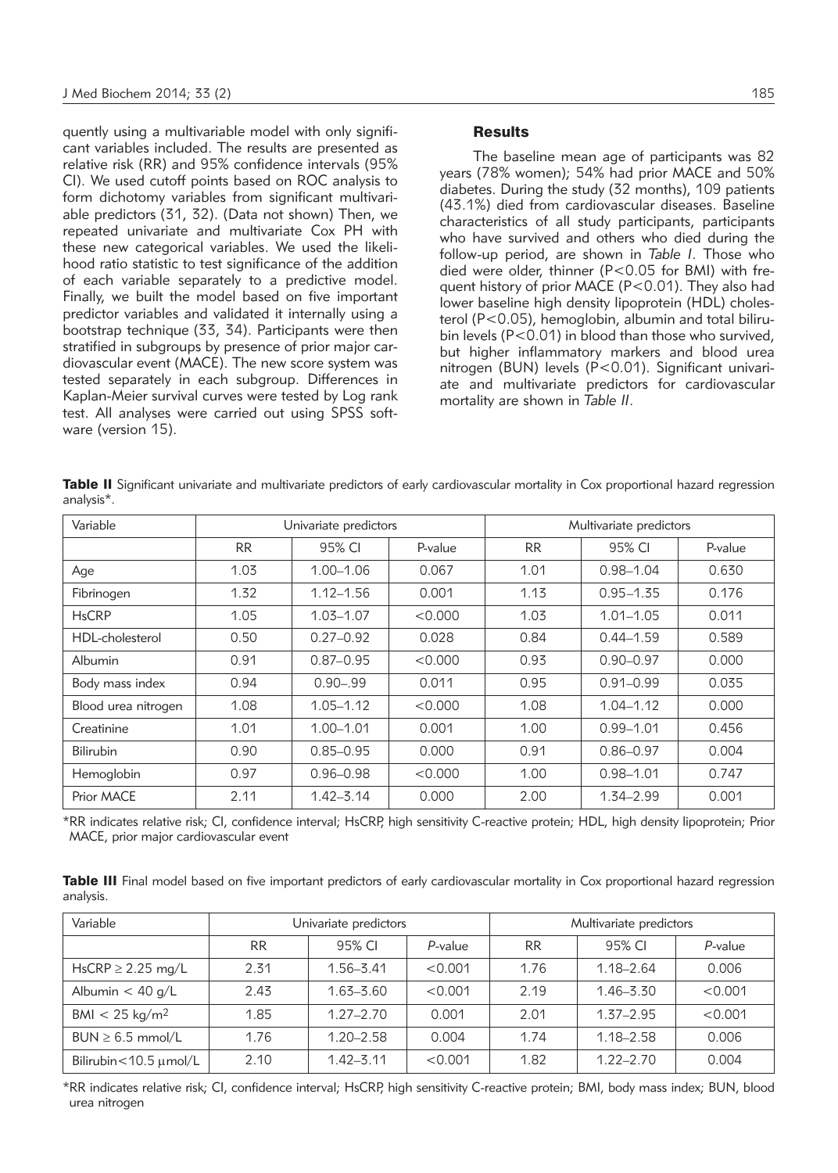quently using a multivariable model with only significant variables included. The results are presented as relative risk (RR) and 95% confidence intervals (95% CI). We used cutoff points based on ROC analysis to form dichotomy variables from significant multivariable predictors (31, 32). (Data not shown) Then, we repeated univariate and multivariate Cox PH with these new categorical variables. We used the likelihood ratio statistic to test significance of the addition of each variable separately to a predictive model. Finally, we built the model based on five important predictor variables and validated it internally using a bootstrap technique (33, 34). Participants were then stratified in subgroups by presence of prior major cardiovascular event (MACE). The new score system was tested separately in each subgroup. Differences in Kaplan-Meier survival curves were tested by Log rank test. All analyses were carried out using SPSS software (version 15).

# **Results**

The baseline mean age of participants was 82 years (78% women); 54% had prior MACE and 50% diabetes. During the study (32 months), 109 patients (43.1%) died from cardiovascular diseases. Baseline characteristics of all study participants, participants who have survived and others who died during the follow-up period, are shown in *Table I*. Those who died were older, thinner (P<0.05 for BMI) with frequent history of prior MACE (P<0.01). They also had lower baseline high density lipoprotein (HDL) cholesterol (P<0.05), hemoglobin, albumin and total bilirubin levels (P<0.01) in blood than those who survived, but higher inflammatory markers and blood urea nitrogen (BUN) levels (P<0.01). Significant univariate and multivariate predictors for cardiovascular mortality are shown in *Table II*.

Table II Significant univariate and multivariate predictors of early cardiovascular mortality in Cox proportional hazard regression analysis\*.

| Variable            | Univariate predictors |               |         | Multivariate predictors |               |         |
|---------------------|-----------------------|---------------|---------|-------------------------|---------------|---------|
|                     | <b>RR</b>             | 95% CI        | P-value | <b>RR</b>               | 95% CI        | P-value |
| Age                 | 1.03                  | $1.00 - 1.06$ | 0.067   | 1.01                    | $0.98 - 1.04$ | 0.630   |
| Fibrinogen          | 1.32                  | $1.12 - 1.56$ | 0.001   | 1.13                    | $0.95 - 1.35$ | 0.176   |
| <b>HsCRP</b>        | 1.05                  | $1.03 - 1.07$ | < 0.000 | 1.03                    | $1.01 - 1.05$ | 0.011   |
| HDL-cholesterol     | 0.50                  | $0.27 - 0.92$ | 0.028   | 0.84                    | $0.44 - 1.59$ | 0.589   |
| <b>Albumin</b>      | 0.91                  | $0.87 - 0.95$ | < 0.000 | 0.93                    | $0.90 - 0.97$ | 0.000   |
| Body mass index     | 0.94                  | $0.90 - 99$   | 0.011   | 0.95                    | $0.91 - 0.99$ | 0.035   |
| Blood urea nitrogen | 1.08                  | $1.05 - 1.12$ | < 0.000 | 1.08                    | $1.04 - 1.12$ | 0.000   |
| Creatinine          | 1.01                  | $1.00 - 1.01$ | 0.001   | 1.00                    | $0.99 - 1.01$ | 0.456   |
| Bilirubin           | 0.90                  | $0.85 - 0.95$ | 0.000   | 0.91                    | $0.86 - 0.97$ | 0.004   |
| Hemoglobin          | 0.97                  | $0.96 - 0.98$ | < 0.000 | 1.00                    | $0.98 - 1.01$ | 0.747   |
| Prior MACE          | 2.11                  | $1.42 - 3.14$ | 0.000   | 2.00                    | $1.34 - 2.99$ | 0.001   |

\*RR indicates relative risk; CI, confidence interval; HsCRP, high sensitivity C-reactive protein; HDL, high density lipoprotein; Prior MACE, prior major cardiovascular event

Table III Final model based on five important predictors of early cardiovascular mortality in Cox proportional hazard regression analysis.

| Variable                  | Univariate predictors |               |            | Multivariate predictors |               |         |
|---------------------------|-----------------------|---------------|------------|-------------------------|---------------|---------|
|                           | <b>RR</b>             | 95% CI        | $P$ -value | <b>RR</b>               | 95% CI        | P-value |
| HsCRP $\geq$ 2.25 mg/L    | 2.31                  | $1.56 - 3.41$ | < 0.001    | 1.76                    | $1.18 - 2.64$ | 0.006   |
| Albumin < $40 g/L$        | 2.43                  | $1.63 - 3.60$ | < 0.001    | 2.19                    | $1.46 - 3.30$ | < 0.001 |
| $BMI < 25 \text{ kg/m}^2$ | 1.85                  | $1.27 - 2.70$ | 0.001      | 2.01                    | $1.37 - 2.95$ | < 0.001 |
| $BUN \geq 6.5$ mmol/L     | 1.76                  | $1.20 - 2.58$ | 0.004      | 1.74                    | 1.18-2.58     | 0.006   |
| Bilirubin<10.5 µmol/L     | 2.10                  | $1.42 - 3.11$ | < 0.001    | 1.82                    | $1.22 - 2.70$ | 0.004   |

\*RR indicates relative risk; CI, confidence interval; HsCRP, high sensitivity C-reactive protein; BMI, body mass index; BUN, blood urea nitrogen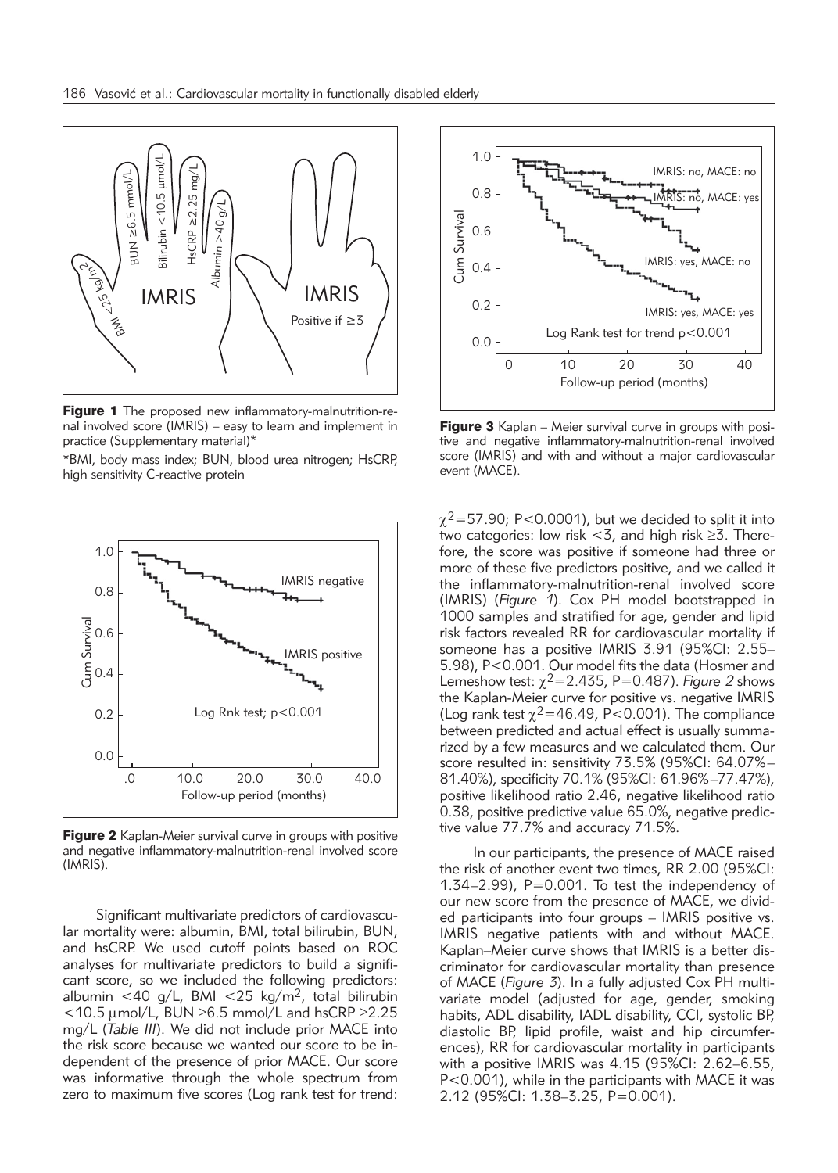

**Figure 1** The proposed new inflammatory-malnutrition-renal in volved score (IMRIS) – easy to learn and implement in practice (Supplementary material)\*

\*BMI, body mass index; BUN, blood urea nitrogen; HsCRP, high sensitivity C-reactive protein



**Figure 2** Kaplan-Meier survival curve in groups with positive and negative inflammatory-malnutrition-renal involved score (IMRIS).

Significant multivariate predictors of cardiovascular mortality were: albumin, BMI, total bilirubin, BUN, and hsCRP. We used cutoff points based on ROC analyses for multivariate predictors to build a significant score, so we included the following predictors: albumin <40 g/L, BMI <25 kg/m<sup>2</sup>, total bilirubin  $<$ 10.5  $\mu$ mol/L, BUN ≥6.5 mmol/L and hsCRP ≥2.25 mg/L (*Table III*). We did not include prior MACE into the risk score because we wanted our score to be independent of the presence of prior MACE. Our score was informative through the whole spectrum from zero to maximum five scores (Log rank test for trend:



**Figure 3** Kaplan – Meier survival curve in groups with positive and negative inflammatory-malnutrition-renal involved score (IMRIS) and with and without a major cardiovascular event (MACE).

 $\gamma^2$ =57.90; P<0.0001), but we decided to split it into two categories: low risk <3, and high risk  $\geq$ 3. Therefore, the score was positive if someone had three or more of these five predictors positive, and we called it the inflammatory-malnutrition-renal involved score (IMRIS) (*Figure 1*). Cox PH model bootstrapped in 1000 samples and stratified for age, gender and lipid risk factors revealed RR for cardiovascular mortality if someone has a positive IMRIS 3.91 (95%CI: 2.55– 5.98), P<0.001. Our model fits the data (Hosmer and Lemeshow test:  $\chi^2$ =2.435, P=0.487). *Figure 2* shows the Kaplan-Meier curve for positive vs. negative IMRIS (Log rank test  $\chi^2$ =46.49, P<0.001). The compliance between predicted and actual effect is usually summarized by a few measures and we calculated them. Our score resulted in: sensitivity 73.5% (95%CI: 64.07%– 81.40%), specificity 70.1% (95%CI: 61.96%–77.47%), positive likelihood ratio 2.46, negative likelihood ratio 0.38, positive predictive value 65.0%, negative predictive value 77.7% and accuracy 71.5%.

In our participants, the presence of MACE raised the risk of another event two times, RR 2.00 (95%CI: 1.34–2.99),  $P=0.001$ . To test the independency of our new score from the presence of MACE, we divided participants into four groups – IMRIS positive vs. IMRIS negative patients with and without MACE. Kaplan–Meier curve shows that IMRIS is a better discriminator for cardiovascular mortality than presence of MACE (*Figure 3*). In a fully adjusted Cox PH multivariate model (adjusted for age, gender, smoking habits, ADL disability, IADL disability, CCI, systolic BP, diastolic BP, lipid profile, waist and hip circumferences), RR for cardiovascular mortality in participants with a positive IMRIS was 4.15 (95%CI: 2.62–6.55, P<0.001), while in the participants with MACE it was 2.12 (95%CI: 1.38–3.25, P=0.001).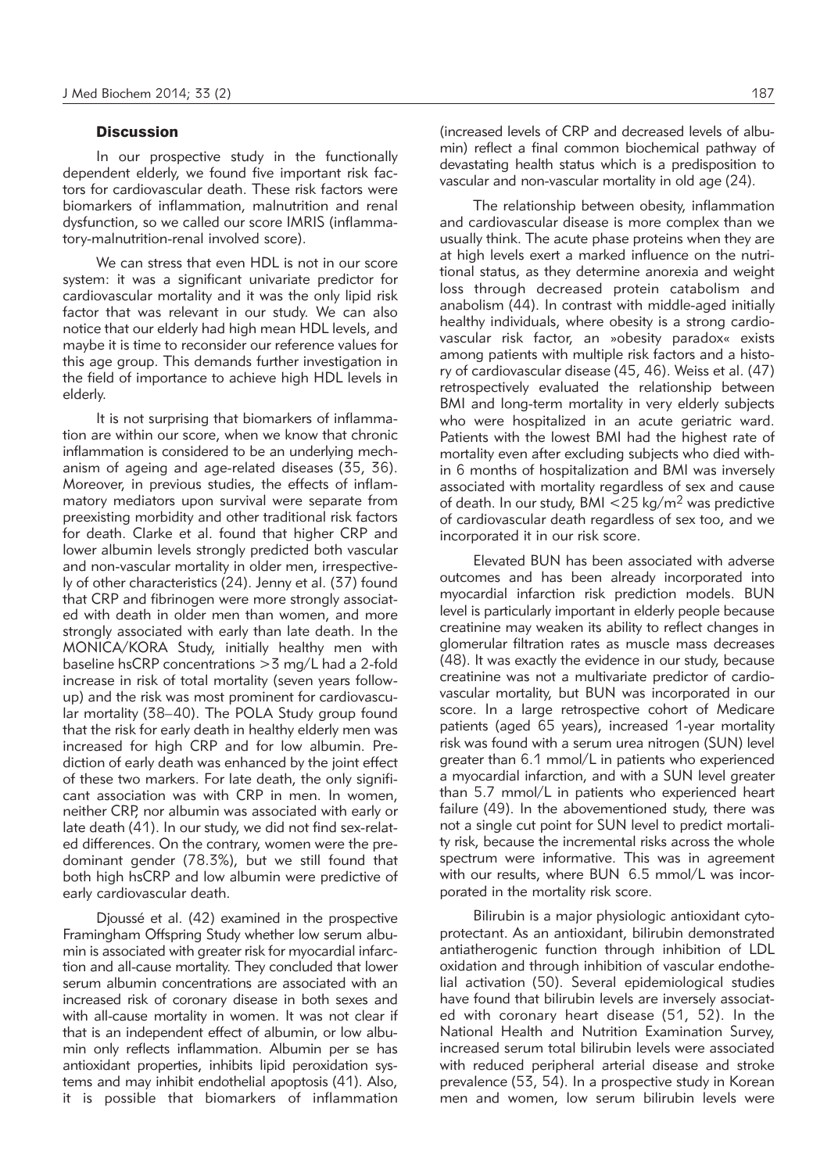# **Discussion**

In our prospective study in the functionally dependent elderly, we found five important risk factors for cardiovascular death. These risk factors were biomarkers of inflammation, malnutrition and renal dysfunction, so we called our score IMRIS (inflammatory-malnutrition-renal involved score).

We can stress that even HDL is not in our score system: it was a significant univariate predictor for cardiovascular mortality and it was the only lipid risk factor that was relevant in our study. We can also notice that our elderly had high mean HDL levels, and maybe it is time to reconsider our reference values for this age group. This demands further investigation in the field of importance to achieve high HDL levels in elderly.

It is not surprising that biomarkers of inflammation are within our score, when we know that chronic inflammation is considered to be an underlying mechanism of ageing and age-related diseases (35, 36). Moreover, in previous studies, the effects of inflammatory mediators upon survival were separate from preexisting morbidity and other traditional risk factors for death. Clarke et al. found that higher CRP and lower albumin levels strongly predicted both vascular and non-vascular mortality in older men, irrespectively of other characteristics (24). Jenny et al. (37) found that CRP and fibrinogen were more strongly associated with death in older men than women, and more strongly associated with early than late death. In the MONICA/KORA Study, initially healthy men with baseline hsCRP concentrations >3 mg/L had a 2-fold increase in risk of total mortality (seven years followup) and the risk was most prominent for cardiovascular mortality (38–40). The POLA Study group found that the risk for early death in healthy elderly men was increased for high CRP and for low albumin. Prediction of early death was enhanced by the joint effect of these two markers. For late death, the only significant association was with CRP in men. In women, neither CRP, nor albumin was associated with early or late death (41). In our study, we did not find sex-related differences. On the contrary, women were the predominant gender (78.3%), but we still found that both high hsCRP and low albumin were predictive of early cardiovascular death.

Djoussé et al. (42) examined in the prospective Framingham Offspring Study whether low serum albumin is associated with greater risk for myocardial infarction and all-cause mortality. They concluded that lower serum albumin concentrations are associated with an increased risk of coronary disease in both sexes and with all-cause mortality in women. It was not clear if that is an independent effect of albumin, or low albumin only reflects inflammation. Albumin per se has antioxidant properties, inhibits lipid peroxidation systems and may inhibit endothelial apoptosis (41). Also, it is possible that biomarkers of inflammation

(increased levels of CRP and decreased levels of albumin) reflect a final common biochemical pathway of devastating health status which is a predisposition to vascular and non-vascular mortality in old age (24).

The relationship between obesity, inflammation and cardiovascular disease is more complex than we usually think. The acute phase proteins when they are at high levels exert a marked influence on the nutritional status, as they determine anorexia and weight loss through decreased protein catabolism and anabolism (44). In contrast with middle-aged initially healthy individuals, where obesity is a strong cardiovascular risk factor, an »obesity paradox« exists among patients with multiple risk factors and a history of cardiovascular disease (45, 46). Weiss et al. (47) retrospectively evaluated the relationship between BMI and long-term mortality in very elderly subjects who were hospitalized in an acute geriatric ward. Patients with the lowest BMI had the highest rate of mortality even after excluding subjects who died within 6 months of hospitalization and BMI was inversely associated with mortality regardless of sex and cause of death. In our study, BMI  $<$  25 kg/m<sup>2</sup> was predictive of cardiovascular death regardless of sex too, and we incorporated it in our risk score.

Elevated BUN has been associated with adverse outcomes and has been already incorporated into myocardial infarction risk prediction models. BUN level is particularly important in elderly people because creatinine may weaken its ability to reflect changes in glomerular filtration rates as muscle mass decreases (48). It was exactly the evidence in our study, because creatinine was not a multivariate predictor of cardiovascular mortality, but BUN was incorporated in our score. In a large retrospective cohort of Medicare patients (aged 65 years), increased 1-year mortality risk was found with a serum urea nitrogen (SUN) level greater than 6.1 mmol/L in patients who experienced a myocardial infarction, and with a SUN level greater than 5.7 mmol/L in patients who experienced heart failure (49). In the abovementioned study, there was not a single cut point for SUN level to predict mortality risk, because the incremental risks across the whole spectrum were informative. This was in agreement with our results, where BUN 6.5 mmol/L was incorporated in the mortality risk score.

Bilirubin is a major physiologic antioxidant cytoprotectant. As an antioxidant, bilirubin demonstrated antiatherogenic function through inhibition of LDL oxidation and through inhibition of vascular endothelial activation (50). Several epidemiological studies have found that bilirubin levels are inversely associated with coronary heart disease (51, 52). In the National Health and Nutrition Examination Survey, increased serum total bilirubin levels were associated with reduced peripheral arterial disease and stroke prevalence (53, 54). In a prospective study in Korean men and women, low serum bilirubin levels were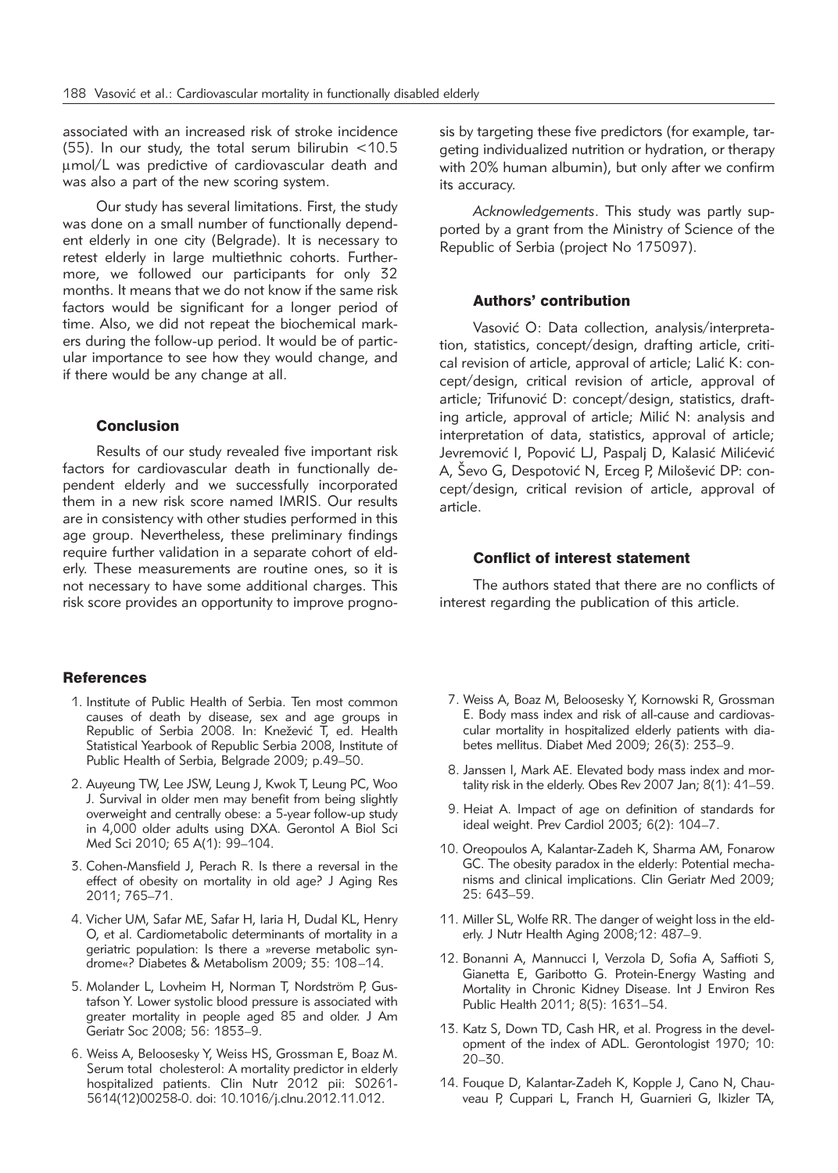associated with an increased risk of stroke incidence (55). In our study, the total serum bilirubin <10.5 mmol/L was predictive of cardiovascular death and was also a part of the new scoring system.

Our study has several limitations. First, the study was done on a small number of functionally dependent elderly in one city (Belgrade). It is necessary to retest elderly in large multiethnic cohorts. Furthermore, we followed our participants for only 32 months. It means that we do not know if the same risk factors would be significant for a longer period of time. Also, we did not repeat the biochemical markers during the follow-up period. It would be of particular importance to see how they would change, and if there would be any change at all.

## Conclusion

Results of our study revealed five important risk factors for cardiovascular death in functionally dependent elderly and we successfully incorporated them in a new risk score named IMRIS. Our results are in consistency with other studies performed in this age group. Nevertheless, these preliminary findings require further validation in a separate cohort of elderly. These measurements are routine ones, so it is not necessary to have some additional charges. This risk score provides an opportunity to improve progno-

# **References**

- 1. Institute of Public Health of Serbia. Ten most common causes of death by disease, sex and age groups in Republic of Serbia 2008. In: Knežević T, ed. Health Statistical Yearbook of Republic Serbia 2008, Institute of Public Health of Serbia, Belgrade 2009; p.49–50.
- 2. Auyeung TW, Lee JSW, Leung J, Kwok T, Leung PC, Woo J. Survival in older men may benefit from being slightly overweight and centrally obese: a 5-year follow-up study in 4,000 older adults using DXA. Gerontol A Biol Sci Med Sci 2010; 65 A(1): 99–104.
- 3. Cohen-Mansfield J, Perach R. Is there a reversal in the effect of obesity on mortality in old age? J Aging Res 2011; 765–71.
- 4. Vicher UM, Safar ME, Safar H, Iaria H, Dudal KL, Henry O, et al. Cardiometabolic determinants of mortality in a geriatric population: Is there a »reverse metabolic syndrome«? Diabetes & Metabolism 2009; 35: 108–14.
- 5. Molander L, Lovheim H, Norman T, Nordström P, Gustafson Y. Lower systolic blood pressure is associated with greater mortality in people aged 85 and older. J Am Geriatr Soc 2008; 56: 1853–9.
- 6. Weiss A, Beloosesky Y, Weiss HS, Grossman E, Boaz M. Serum total cholesterol: A mortality predictor in elderly hospitalized patients. Clin Nutr 2012 pii: S0261- 5614(12)00258-0. doi: 10.1016/j.clnu.2012.11.012.

sis by targeting these five predictors (for example, targeting individualized nutrition or hydration, or therapy with 20% human albumin), but only after we confirm its accuracy.

*Acknowledgements*. This study was partly supported by a grant from the Ministry of Science of the Republic of Serbia (project No 175097).

#### Authors' contribution

Vasović O: Data collection, analysis/interpretation, statistics, concept/design, drafting article, critical revision of article, approval of article: Lalić K: concept/design, critical revision of article, approval of article; Trifunović D: concept/design, statistics, drafting article, approval of article; Milić N: analysis and interpretation of data, statistics, approval of article; Jevremović I, Popović LJ, Paspalj D, Kalasić Milićević A, Ševo G, Despotović N, Erceg P, Milošević DP: concept/design, critical revision of article, approval of article.

### Conflict of interest statement

The authors stated that there are no conflicts of interest regarding the publication of this article.

- 7. Weiss A, Boaz M, Beloosesky Y, Kornowski R, Grossman E. Body mass index and risk of all-cause and cardiovascular mortality in hospitalized elderly patients with diabetes mellitus. Diabet Med 2009; 26(3): 253–9.
- 8. Janssen I, Mark AE. Elevated body mass index and mortality risk in the elderly. Obes Rev 2007 Jan; 8(1): 41–59.
- 9. Heiat A. Impact of age on definition of standards for ideal weight. Prev Cardiol 2003; 6(2): 104–7.
- 10. Oreopoulos A, Kalantar-Zadeh K, Sharma AM, Fonarow GC. The obesity paradox in the elderly: Potential mechanisms and clinical implications. Clin Geriatr Med 2009; 25: 643–59.
- 11. Miller SL, Wolfe RR. The danger of weight loss in the elderly. J Nutr Health Aging 2008;12: 487–9.
- 12. Bonanni A, Mannucci I, Verzola D, Sofia A, Saffioti S, Gianetta E, Garibotto G. Protein-Energy Wasting and Mortality in Chronic Kidney Disease. Int J Environ Res Public Health 2011; 8(5): 1631–54.
- 13. Katz S, Down TD, Cash HR, et al. Progress in the development of the index of ADL. Gerontologist 1970; 10: 20–30.
- 14. Fouque D, Kalantar-Zadeh K, Kopple J, Cano N, Chauveau P, Cuppari L, Franch H, Guarnieri G, Ikizler TA,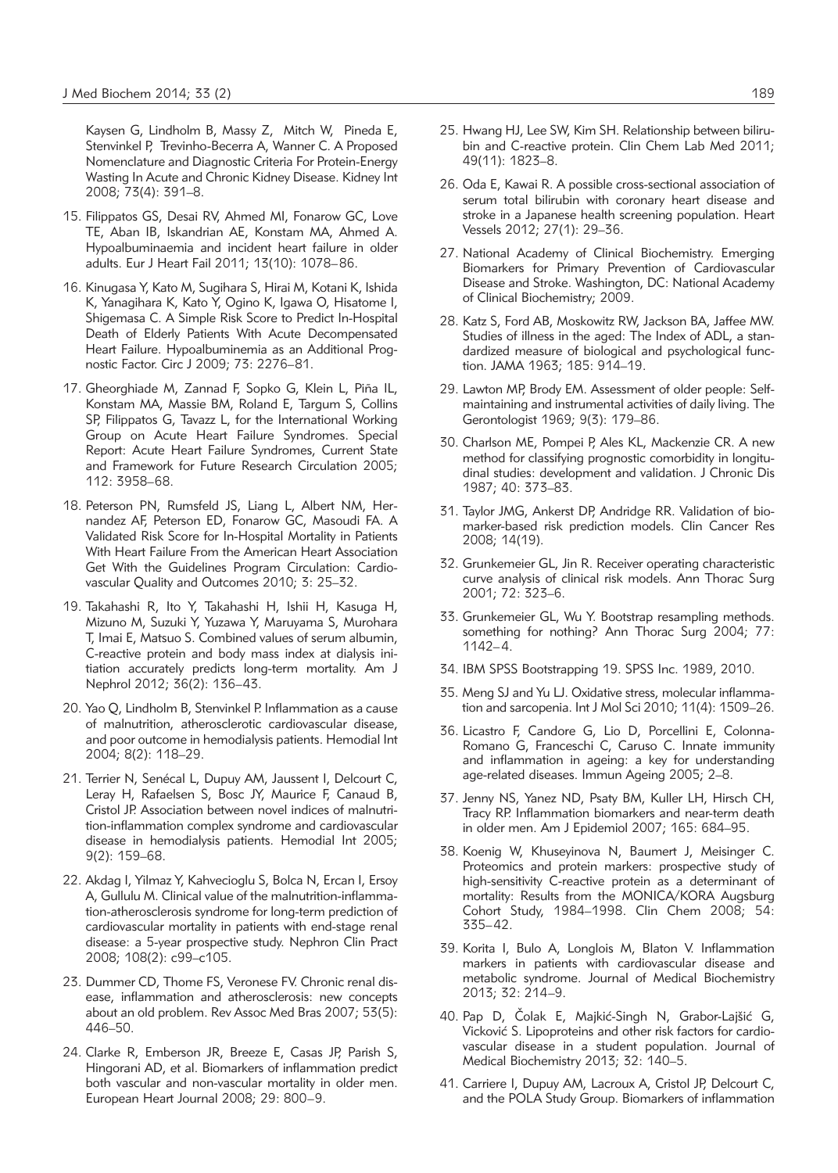Kaysen G, Lindholm B, Massy Z, Mitch W, Pineda E, Stenvinkel P, Trevinho-Becerra A, Wanner C. A Proposed Nomenclature and Diagnostic Criteria For Protein-Energy Wasting In Acute and Chronic Kidney Disease. Kidney Int 2008; 73(4): 391–8.

- 15. Filippatos GS, Desai RV, Ahmed MI, Fonarow GC, Love TE, Aban IB, Iskandrian AE, Konstam MA, Ahmed A. Hypoalbuminaemia and incident heart failure in older adults. Eur J Heart Fail 2011; 13(10): 1078–86.
- 16. Kinugasa Y, Kato M, Sugihara S, Hirai M, Kotani K, Ishida K, Yanagihara K, Kato Y, Ogino K, Igawa O, Hisatome I, Shigemasa C. A Simple Risk Score to Predict In-Hospital Death of Elderly Patients With Acute Decompensated Heart Failure. Hypoalbuminemia as an Additional Prognostic Factor. Circ J 2009; 73: 2276–81.
- 17. Gheorghiade M, Zannad F, Sopko G, Klein L, Piña IL, Konstam MA, Massie BM, Roland E, Targum S, Collins SP, Filippatos G, Tavazz L, for the International Working Group on Acute Heart Failure Syndromes. Special Report: Acute Heart Failure Syndromes, Current State and Framework for Future Research Circulation 2005; 112: 3958–68.
- 18. Peterson PN, Rumsfeld JS, Liang L, Albert NM, Hernandez AF, Peterson ED, Fonarow GC, Masoudi FA. A Validated Risk Score for In-Hospital Mortality in Patients With Heart Failure From the American Heart Association Get With the Guidelines Program Circulation: Cardiovascular Quality and Outcomes 2010; 3: 25–32.
- 19. Takahashi R, Ito Y, Takahashi H, Ishii H, Kasuga H, Mizuno M, Suzuki Y, Yuzawa Y, Maruyama S, Murohara T, Imai E, Matsuo S. Combined values of serum albumin, C-reactive protein and body mass index at dialysis ini tiation accurately predicts long-term mortality. Am J Nephrol 2012; 36(2): 136–43.
- 20. Yao Q, Lindholm B, Stenvinkel P. Inflammation as a cause of malnutrition, atherosclerotic cardiovascular disease, and poor outcome in hemodialysis patients. Hemodial Int 2004; 8(2): 118–29.
- 21. Terrier N, Senécal L, Dupuy AM, Jaussent I, Delcourt C, Leray H, Rafaelsen S, Bosc JY, Maurice F, Canaud B, Cristol JP. Association between novel indices of malnutrition-inflammation complex syndrome and cardiovascular disease in hemodialysis patients. Hemodial Int 2005; 9(2): 159–68.
- 22. Akdag I, Yilmaz Y, Kahvecioglu S, Bolca N, Ercan I, Ersoy A, Gullulu M. Clinical value of the malnutrition-inflammation-atherosclerosis syndrome for long-term prediction of cardiovascular mortality in patients with end-stage renal disease: a 5-year prospective study. Nephron Clin Pract 2008; 108(2): c99–c105.
- 23. Dummer CD, Thome FS, Veronese FV. Chronic renal disease, inflammation and atherosclerosis: new concepts about an old problem. Rev Assoc Med Bras 2007; 53(5): 446–50.
- 24. Clarke R, Emberson JR, Breeze E, Casas JP, Parish S, Hingorani AD, et al. Biomarkers of inflammation predict both vascular and non-vascular mortality in older men. European Heart Journal 2008; 29: 800–9.
- 25. Hwang HJ, Lee SW, Kim SH. Relationship between bilirubin and C-reactive protein. Clin Chem Lab Med 2011; 49(11): 1823–8.
- 26. Oda E, Kawai R. A possible cross-sectional association of serum total bilirubin with coronary heart disease and stroke in a Japanese health screening population. Heart Vessels 2012; 27(1): 29–36.
- 27. National Academy of Clinical Biochemistry. Emerging Biomarkers for Primary Prevention of Cardiovascular Disease and Stroke. Washington, DC: National Academy of Clinical Biochemistry; 2009.
- 28. Katz S, Ford AB, Moskowitz RW, Jackson BA, Jaffee MW. Studies of illness in the aged: The Index of ADL, a standardized measure of biological and psychological function. JAMA 1963; 185: 914–19.
- 29. Lawton MP, Brody EM. Assessment of older people: Selfmaintaining and instrumental activities of daily living. The Gerontologist 1969; 9(3): 179–86.
- 30. Charlson ME, Pompei P, Ales KL, Mackenzie CR. A new method for classifying prognostic comorbidity in longitudinal studies: development and validation. J Chronic Dis 1987; 40: 373–83.
- 31. Taylor JMG, Ankerst DP, Andridge RR. Validation of biomarker-based risk prediction models. Clin Cancer Res 2008; 14(19).
- 32. Grunkemeier GL, Jin R. Receiver operating characteristic curve analysis of clinical risk models. Ann Thorac Surg 2001; 72: 323–6.
- 33. Grunkemeier GL, Wu Y. Bootstrap resampling methods. something for nothing? Ann Thorac Surg 2004; 77: 1142–4.
- 34. IBM SPSS Bootstrapping 19. SPSS Inc. 1989, 2010.
- 35. Meng SJ and Yu LJ. Oxidative stress, molecular inflammation and sarcopenia. Int J Mol Sci 2010; 11(4): 1509–26.
- 36. Licastro F, Candore G, Lio D, Porcellini E, Colonna-Romano G, Franceschi C, Caruso C. Innate immunity and inflammation in ageing: a key for understanding age-related diseases. Immun Ageing 2005; 2–8.
- 37. Jenny NS, Yanez ND, Psaty BM, Kuller LH, Hirsch CH, Tracy RP. Inflammation biomarkers and near-term death in older men. Am J Epidemiol 2007; 165: 684–95.
- 38. Koenig W, Khuseyinova N, Baumert J, Meisinger C. Proteomics and protein markers: prospective study of high-sensitivity C-reactive protein as a determinant of mortality: Results from the MONICA/KORA Augsburg Cohort Study, 1984–1998. Clin Chem 2008; 54: 335–42.
- 39. Korita I, Bulo A, Longlois M, Blaton V. Inflammation markers in patients with cardiovascular disease and metabolic syndrome. Journal of Medical Biochemistry 2013; 32: 214–9.
- 40. Pap D, Čolak E, Majkić-Singh N, Grabor-Lajšić G, Vicković S. Lipoproteins and other risk factors for cardiovascular disease in a student population. Journal of Medical Biochemistry 2013; 32: 140–5.
- 41. Carriere I, Dupuy AM, Lacroux A, Cristol JP, Delcourt C, and the POLA Study Group. Biomarkers of inflammation